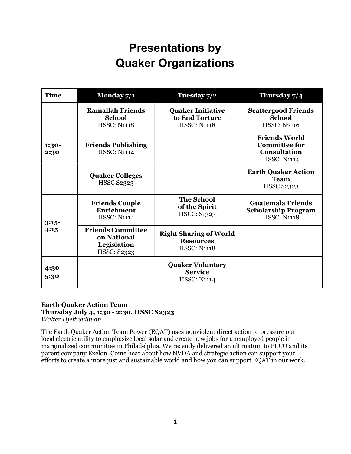| <b>Time</b>     | Monday 7/1                                                                   | Tuesday 7/2                                                             | Thursday 7/4                                                                              |
|-----------------|------------------------------------------------------------------------------|-------------------------------------------------------------------------|-------------------------------------------------------------------------------------------|
| 1:30-<br>2:30   | <b>Ramallah Friends</b><br><b>School</b><br><b>HSSC: N1118</b>               | <b>Quaker Initiative</b><br>to End Torture<br><b>HSSC: N1118</b>        | <b>Scattergood Friends</b><br><b>School</b><br><b>HSSC: N2116</b>                         |
|                 | <b>Friends Publishing</b><br><b>HSSC: N1114</b>                              |                                                                         | <b>Friends World</b><br><b>Committee for</b><br><b>Consultation</b><br><b>HSSC: N1114</b> |
|                 | <b>Quaker Colleges</b><br><b>HSSC S2323</b>                                  |                                                                         | <b>Earth Quaker Action</b><br><b>Team</b><br><b>HSSC S2323</b>                            |
| $3:15-$<br>4:15 | <b>Friends Couple</b><br><b>Enrichment</b><br><b>HSSC: N1114</b>             | <b>The School</b><br>of the Spirit<br><b>HSCC: S1323</b>                | <b>Guatemala Friends</b><br><b>Scholarship Program</b><br><b>HSSC: N1118</b>              |
|                 | <b>Friends Committee</b><br>on National<br>Legislation<br><b>HSSC: S2323</b> | <b>Right Sharing of World</b><br><b>Resources</b><br><b>HSSC: N1118</b> |                                                                                           |
| 4:30-<br>5:30   |                                                                              | <b>Quaker Voluntary</b><br><b>Service</b><br><b>HSSC: N1114</b>         |                                                                                           |

### Earth Quaker Action Team

### Thursday July 4, 1:30 - 2:30, HSSC S2323

Walter Hjelt Sullivan

The Earth Quaker Action Team Power (EQAT) uses nonviolent direct action to pressure our local electric utility to emphasize local solar and create new jobs for unemployed people in marginalized communities in Philadelphia. We recently delivered an ultimatum to PECO and its parent company Exelon. Come hear about how NVDA and strategic action can support your efforts to create a more just and sustainable world and how you can support EQAT in our work.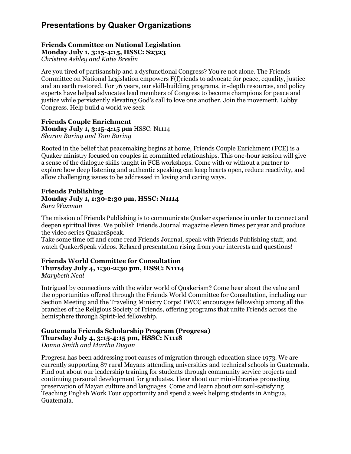### Friends Committee on National Legislation Monday July 1, 3:15-4:15, HSSC: S2323

Christine Ashley and Katie Breslin

Are you tired of partisanship and a dysfunctional Congress? You're not alone. The Friends Committee on National Legislation empowers F(f)riends to advocate for peace, equality, justice and an earth restored. For 76 years, our skill-building programs, in-depth resources, and policy experts have helped advocates lead members of Congress to become champions for peace and justice while persistently elevating God's call to love one another. Join the movement. Lobby Congress. Help build a world we seek

### Friends Couple Enrichment Monday July 1, 3:15-4:15 pm HSSC: N1114 Sharon Baring and Tom Baring

Rooted in the belief that peacemaking begins at home, Friends Couple Enrichment (FCE) is a Quaker ministry focused on couples in committed relationships. This one-hour session will give a sense of the dialogue skills taught in FCE workshops. Come with or without a partner to explore how deep listening and authentic speaking can keep hearts open, reduce reactivity, and allow challenging issues to be addressed in loving and caring ways.

### Friends Publishing Monday July 1, 1:30-2:30 pm, HSSC: N1114 Sara Waxman

The mission of Friends Publishing is to communicate Quaker experience in order to connect and deepen spiritual lives. We publish Friends Journal magazine eleven times per year and produce the video series QuakerSpeak.

Take some time off and come read Friends Journal, speak with Friends Publishing staff, and watch QuakerSpeak videos. Relaxed presentation rising from your interests and questions!

#### Friends World Committee for Consultation Thursday July 4, 1:30-2:30 pm, HSSC: N1114 Marybeth Neal

Intrigued by connections with the wider world of Quakerism? Come hear about the value and the opportunities offered through the Friends World Committee for Consultation, including our Section Meeting and the Traveling Ministry Corps! FWCC encourages fellowship among all the branches of the Religious Society of Friends, offering programs that unite Friends across the hemisphere through Spirit-led fellowship.

### Guatemala Friends Scholarship Program (Progresa) Thursday July 4, 3:15-4:15 pm, HSSC: N1118

Donna Smith and Martha Dugan

Progresa has been addressing root causes of migration through education since 1973. We are currently supporting 87 rural Mayans attending universities and technical schools in Guatemala. Find out about our leadership training for students through community service projects and continuing personal development for graduates. Hear about our mini-libraries promoting preservation of Mayan culture and languages. Come and learn about our soul-satisfying Teaching English Work Tour opportunity and spend a week helping students in Antigua, Guatemala.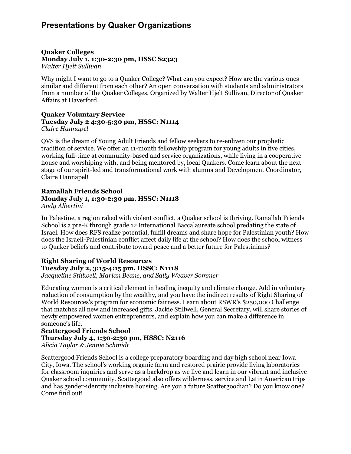#### Quaker Colleges Monday July 1, 1:30-2:30 pm, HSSC S2323 Walter Hjelt Sullivan

Why might I want to go to a Quaker College? What can you expect? How are the various ones similar and different from each other? An open conversation with students and administrators from a number of the Quaker Colleges. Organized by Walter Hjelt Sullivan, Director of Quaker Affairs at Haverford.

#### Quaker Voluntary Service Tuesday July 2 4:30-5:30 pm, HSSC: N1114 Claire Hannapel

QVS is the dream of Young Adult Friends and fellow seekers to re-enliven our prophetic tradition of service. We offer an 11-month fellowship program for young adults in five cities, working full-time at community-based and service organizations, while living in a cooperative house and worshiping with, and being mentored by, local Quakers. Come learn about the next stage of our spirit-led and transformational work with alumna and Development Coordinator, Claire Hannapel!

### Ramallah Friends School Monday July 1, 1:30-2:30 pm, HSSC: N1118 Andy Albertini

In Palestine, a region raked with violent conflict, a Quaker school is thriving. Ramallah Friends School is a pre-K through grade 12 International Baccalaureate school predating the state of Israel. How does RFS realize potential, fulfill dreams and share hope for Palestinian youth? How does the Israeli-Palestinian conflict affect daily life at the school? How does the school witness to Quaker beliefs and contribute toward peace and a better future for Palestinians?

### Right Sharing of World Resources

Tuesday July 2, 3:15-4:15 pm, HSSC: N1118

Jacqueline Stillwell, Marian Beane, and Sally Weaver Sommer

Educating women is a critical element in healing inequity and climate change. Add in voluntary reduction of consumption by the wealthy, and you have the indirect results of Right Sharing of World Resources's program for economic fairness. Learn about RSWR's \$250,000 Challenge that matches all new and increased gifts. Jackie Stillwell, General Secretary, will share stories of newly empowered women entrepreneurs, and explain how you can make a difference in someone's life.

### Scattergood Friends School Thursday July 4, 1:30-2:30 pm, HSSC: N2116 Alicia Taylor & Jennie Schmidt

Scattergood Friends School is a college preparatory boarding and day high school near Iowa City, Iowa. The school's working organic farm and restored prairie provide living laboratories for classroom inquiries and serve as a backdrop as we live and learn in our vibrant and inclusive Quaker school community. Scattergood also offers wilderness, service and Latin American trips and has gender-identity inclusive housing. Are you a future Scattergoodian? Do you know one? Come find out!